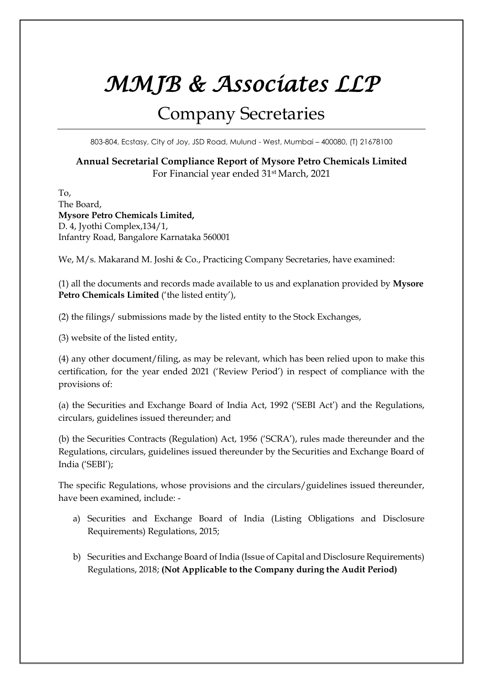## *MMJB & Associates LLP*

## Company Secretaries

803-804, Ecstasy, City of Joy, JSD Road, Mulund - West, Mumbai – 400080, (T) 21678100

## **Annual Secretarial Compliance Report of Mysore Petro Chemicals Limited** For Financial year ended 31st March, 2021

To, The Board, **Mysore Petro Chemicals Limited,**  D. 4, Jyothi Complex,134/1, Infantry Road, Bangalore Karnataka 560001

We, M/s. Makarand M. Joshi & Co., Practicing Company Secretaries, have examined:

(1) all the documents and records made available to us and explanation provided by **Mysore Petro Chemicals Limited** ('the listed entity'),

(2) the filings/ submissions made by the listed entity to the Stock Exchanges,

(3) website of the listed entity,

(4) any other document/filing, as may be relevant, which has been relied upon to make this certification, for the year ended 2021 ('Review Period') in respect of compliance with the provisions of:

(a) the Securities and Exchange Board of India Act, 1992 ('SEBI Act') and the Regulations, circulars, guidelines issued thereunder; and

(b) the Securities Contracts (Regulation) Act, 1956 ('SCRA'), rules made thereunder and the Regulations, circulars, guidelines issued thereunder by the Securities and Exchange Board of India ('SEBI');

The specific Regulations, whose provisions and the circulars/guidelines issued thereunder, have been examined, include: -

- a) Securities and Exchange Board of India (Listing Obligations and Disclosure Requirements) Regulations, 2015;
- b) Securities and Exchange Board of India (Issue of Capital and Disclosure Requirements) Regulations, 2018; **(Not Applicable to the Company during the Audit Period)**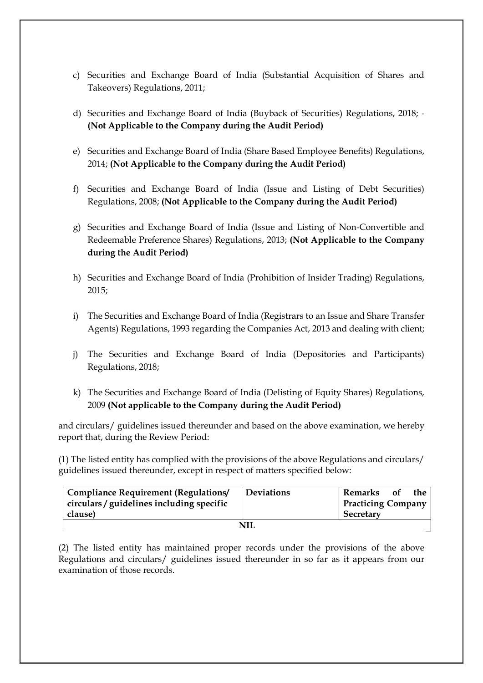- c) Securities and Exchange Board of India (Substantial Acquisition of Shares and Takeovers) Regulations, 2011;
- d) Securities and Exchange Board of India (Buyback of Securities) Regulations, 2018; **(Not Applicable to the Company during the Audit Period)**
- e) Securities and Exchange Board of India (Share Based Employee Benefits) Regulations, 2014; **(Not Applicable to the Company during the Audit Period)**
- f) Securities and Exchange Board of India (Issue and Listing of Debt Securities) Regulations, 2008; **(Not Applicable to the Company during the Audit Period)**
- g) Securities and Exchange Board of India (Issue and Listing of Non-Convertible and Redeemable Preference Shares) Regulations, 2013; **(Not Applicable to the Company during the Audit Period)**
- h) Securities and Exchange Board of India (Prohibition of Insider Trading) Regulations, 2015;
- i) The Securities and Exchange Board of India (Registrars to an Issue and Share Transfer Agents) Regulations, 1993 regarding the Companies Act, 2013 and dealing with client;
- j) The Securities and Exchange Board of India (Depositories and Participants) Regulations, 2018;
- k) The Securities and Exchange Board of India (Delisting of Equity Shares) Regulations, 2009 **(Not applicable to the Company during the Audit Period)**

and circulars/ guidelines issued thereunder and based on the above examination, we hereby report that, during the Review Period:

(1) The listed entity has complied with the provisions of the above Regulations and circulars/ guidelines issued thereunder, except in respect of matters specified below:

| <b>Compliance Requirement (Regulations/</b> | <b>Deviations</b> | Remarks                   | 0f | the |  |  |  |
|---------------------------------------------|-------------------|---------------------------|----|-----|--|--|--|
| circulars / guidelines including specific   |                   | <b>Practicing Company</b> |    |     |  |  |  |
| clause)                                     |                   | Secretary                 |    |     |  |  |  |
| NII                                         |                   |                           |    |     |  |  |  |

(2) The listed entity has maintained proper records under the provisions of the above Regulations and circulars/ guidelines issued thereunder in so far as it appears from our examination of those records.